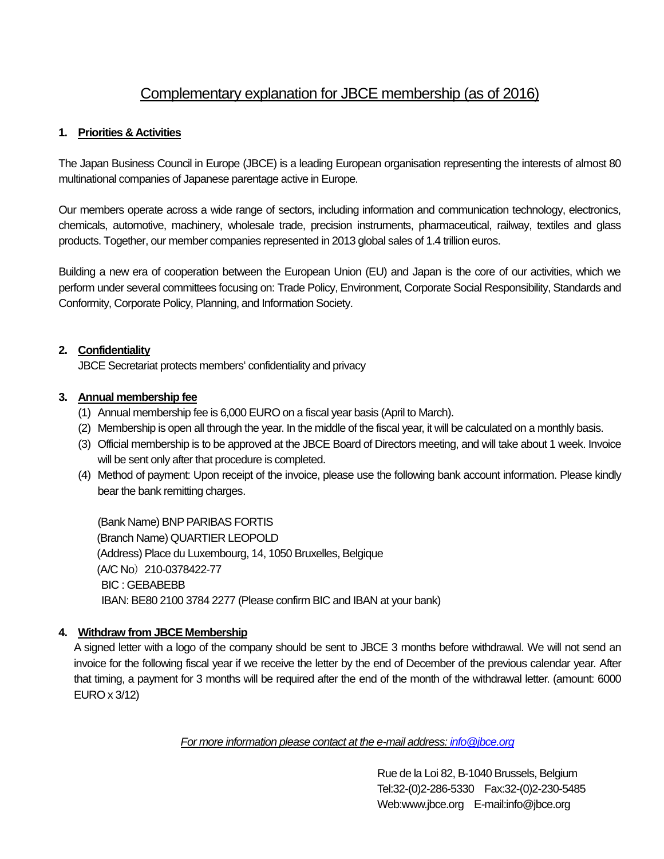# Complementary explanation for JBCE membership (as of 2016)

### **1. Priorities & Activities**

The Japan Business Council in Europe (JBCE) is a leading European organisation representing the interests of almost 80 multinational companies of Japanese parentage active in Europe.

Our members operate across a wide range of sectors, including information and communication technology, electronics, chemicals, automotive, machinery, wholesale trade, precision instruments, pharmaceutical, railway, textiles and glass products. Together, our member companies represented in 2013 global sales of 1.4 trillion euros.

Building a new era of cooperation between the European Union (EU) and Japan is the core of our activities, which we perform under several committees focusing on: Trade Policy, Environment, Corporate Social Responsibility, Standards and Conformity, Corporate Policy, Planning, and Information Society.

#### **2. Confidentiality**

JBCE Secretariat protects members' confidentiality and privacy

## **3. Annual membership fee**

- (1) Annual membership fee is 6,000 EURO on a fiscal year basis (April to March).
- (2) Membership is open all through the year. In the middle of the fiscal year, it will be calculated on a monthly basis.
- (3) Official membership is to be approved at the JBCE Board of Directors meeting, and will take about 1 week. Invoice will be sent only after that procedure is completed.
- (4) Method of payment: Upon receipt of the invoice, please use the following bank account information. Please kindly bear the bank remitting charges.

(Bank Name) BNP PARIBAS FORTIS (Branch Name) QUARTIER LEOPOLD (Address) Place du Luxembourg, 14, 1050 Bruxelles, Belgique (A/C No)210-0378422-77 BIC : GEBABEBB IBAN: BE80 2100 3784 2277 (Please confirm BIC and IBAN at your bank)

## **4. Withdraw from JBCE Membership**

A signed letter with a logo of the company should be sent to JBCE 3 months before withdrawal. We will not send an invoice for the following fiscal year if we receive the letter by the end of December of the previous calendar year. After that timing, a payment for 3 months will be required after the end of the month of the withdrawal letter. (amount: 6000 EURO x 3/12)

*For more information please contact at the e-mail address[: info@jbce.org](mailto:info@jbce.org)*

 Rue de la Loi 82, B-1040 Brussels, Belgium Tel:32-(0)2-286-5330 Fax:32-(0)2-230-5485 Web:www.jbce.org E-mail:info@jbce.org